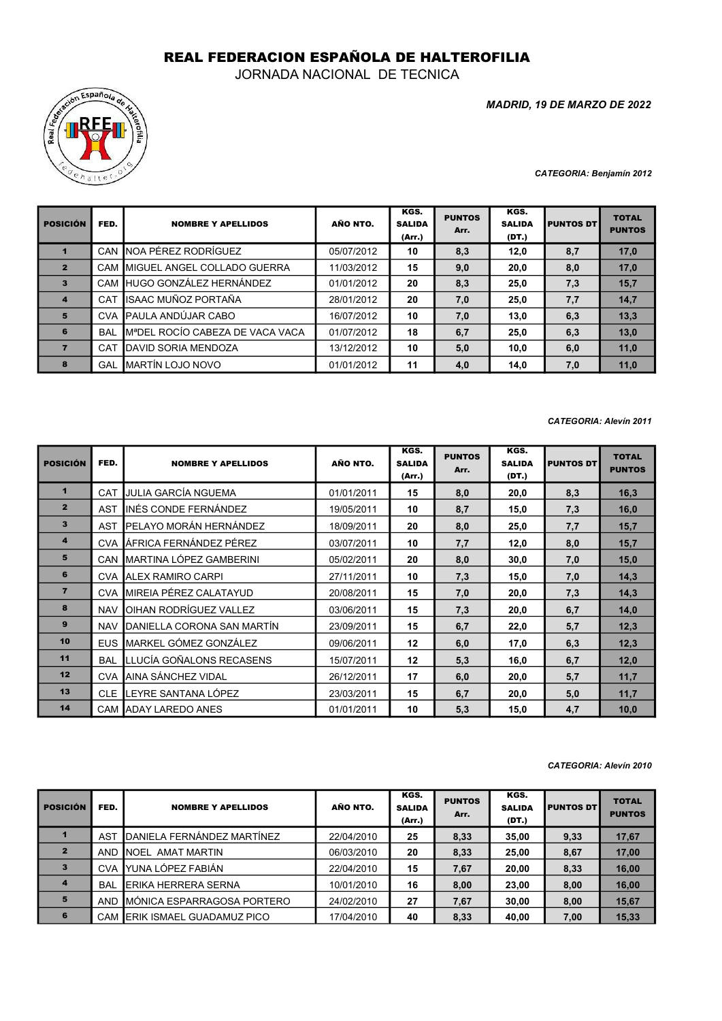## REAL FEDERACION ESPAÑOLA DE HALTEROFILIA

JORNADA NACIONAL DE TECNICA



MADRID, 19 DE MARZO DE 2022

CATEGORIA: Benjamín 2012

| <b>POSICIÓN</b> | FED.       | <b>NOMBRE Y APELLIDOS</b>                    | AÑO NTO.   | KGS.<br><b>SALIDA</b><br>(Arr.) | <b>PUNTOS</b><br>Arr. | KGS.<br><b>SALIDA</b><br>(DT.) | <b>PUNTOS DT</b> | <b>TOTAL</b><br><b>PUNTOS</b> |
|-----------------|------------|----------------------------------------------|------------|---------------------------------|-----------------------|--------------------------------|------------------|-------------------------------|
|                 |            | CAN INOA PÉREZ RODRÍGUEZ                     | 05/07/2012 | 10                              | 8,3                   | 12,0                           | 8,7              | 17,0                          |
| $\overline{2}$  |            | CAM IMIGUEL ANGEL COLLADO GUERRA             | 11/03/2012 | 15                              | 9,0                   | 20,0                           | 8,0              | 17,0                          |
| $\mathbf{3}$    |            | CAM HUGO GONZÁLEZ HERNÁNDEZ                  | 01/01/2012 | 20                              | 8,3                   | 25,0                           | 7,3              | 15,7                          |
| $\overline{a}$  | <b>CAT</b> | IISAAC MUÑOZ PORTAÑA                         | 28/01/2012 | 20                              | 7,0                   | 25,0                           | 7,7              | 14,7                          |
| 5               | <b>CVA</b> | <b>PAULA ANDÚJAR CABO</b>                    | 16/07/2012 | 10                              | 7,0                   | 13,0                           | 6,3              | 13,3                          |
| 6               | <b>BAL</b> | M <sup>ª</sup> DEL ROCÍO CABEZA DE VACA VACA | 01/07/2012 | 18                              | 6,7                   | 25,0                           | 6,3              | 13,0                          |
|                 | CAT        | <b>IDAVID SORIA MENDOZA</b>                  | 13/12/2012 | 10                              | 5,0                   | 10,0                           | 6,0              | 11,0                          |
| 8               | GAL        | <b>IMARTÍN LOJO NOVO</b>                     | 01/01/2012 | 11                              | 4,0                   | 14,0                           | 7,0              | 11,0                          |

## CATEGORIA: Alevín 2011

| <b>POSICIÓN</b>         | FED.       | <b>NOMBRE Y APELLIDOS</b>          | AÑO NTO.   | KGS.<br><b>SALIDA</b><br>(Arr.) | <b>PUNTOS</b><br>Arr. | KGS.<br><b>SALIDA</b><br>(DT.) | <b>PUNTOS DT</b> | <b>TOTAL</b><br><b>PUNTOS</b> |
|-------------------------|------------|------------------------------------|------------|---------------------------------|-----------------------|--------------------------------|------------------|-------------------------------|
| $\mathbf 1$             | CAT        | JULIA GARCÍA NGUEMA                | 01/01/2011 | 15                              | 8,0                   | 20,0                           | 8,3              | 16,3                          |
| $\overline{2}$          | <b>AST</b> | IINÉS CONDE FERNÁNDEZ              | 19/05/2011 | 10                              | 8,7                   | 15,0                           | 7,3              | 16,0                          |
| $\overline{\mathbf{3}}$ | <b>AST</b> | <b>IPELAYO MORÁN HERNÁNDEZ</b>     | 18/09/2011 | 20                              | 8,0                   | 25,0                           | 7,7              | 15,7                          |
| $\overline{4}$          |            | CVA LÁFRICA FERNÁNDEZ PÉREZ        | 03/07/2011 | 10                              | 7,7                   | 12,0                           | 8,0              | 15,7                          |
| 5                       | CAN        | MARTINA LÓPEZ GAMBERINI            | 05/02/2011 | 20                              | 8,0                   | 30,0                           | 7,0              | 15,0                          |
| 6                       | <b>CVA</b> | <b>JALEX RAMIRO CARPI</b>          | 27/11/2011 | 10                              | 7,3                   | 15,0                           | 7,0              | 14,3                          |
| $\overline{7}$          | <b>CVA</b> | <b>IMIREIA PÉREZ CALATAYUD</b>     | 20/08/2011 | 15                              | 7,0                   | 20,0                           | 7,3              | 14,3                          |
| 8                       | <b>NAV</b> | OIHAN RODRÍGUEZ VALLEZ             | 03/06/2011 | 15                              | 7,3                   | 20,0                           | 6,7              | 14,0                          |
| 9                       | <b>NAV</b> | <b>IDANIELLA CORONA SAN MARTÍN</b> | 23/09/2011 | 15                              | 6,7                   | 22,0                           | 5,7              | 12,3                          |
| 10                      | <b>EUS</b> | <b>I</b> MARKEL GÓMEZ GONZÁLEZ     | 09/06/2011 | 12                              | 6,0                   | 17,0                           | 6,3              | 12,3                          |
| 11                      | <b>BAL</b> | LLUCÍA GOÑALONS RECASENS           | 15/07/2011 | 12                              | 5,3                   | 16,0                           | 6,7              | 12,0                          |
| 12                      | <b>CVA</b> | <b>JAINA SÁNCHEZ VIDAL</b>         | 26/12/2011 | 17                              | 6,0                   | 20,0                           | 5,7              | 11,7                          |
| 13                      | <b>CLE</b> | LEYRE SANTANA LÓPEZ                | 23/03/2011 | 15                              | 6,7                   | 20,0                           | 5,0              | 11,7                          |
| 14                      |            | CAM ADAY LAREDO ANES               | 01/01/2011 | 10                              | 5,3                   | 15,0                           | 4,7              | 10,0                          |

## CATEGORIA: Alevín 2010

| <b>POSICIÓN</b>         | FED.       | <b>NOMBRE Y APELLIDOS</b>         | AÑO NTO.   | KGS.<br><b>SALIDA</b><br>(Arr.) | <b>PUNTOS</b><br>Arr. | KGS.<br><b>SALIDA</b><br>(DT.) | <b>PUNTOS DT</b> | <b>TOTAL</b><br><b>PUNTOS</b> |
|-------------------------|------------|-----------------------------------|------------|---------------------------------|-----------------------|--------------------------------|------------------|-------------------------------|
|                         | AST        | DANIELA FERNÁNDEZ MARTÍNEZ        | 22/04/2010 | 25                              | 8,33                  | 35,00                          | 9,33             | 17,67                         |
| $\overline{2}$          | <b>AND</b> | <b>INOEL AMAT MARTIN</b>          | 06/03/2010 | 20                              | 8,33                  | 25,00                          | 8,67             | 17,00                         |
| $\overline{\mathbf{3}}$ | <b>CVA</b> | YUNA LÓPEZ FABIÁN                 | 22/04/2010 | 15                              | 7,67                  | 20,00                          | 8,33             | 16,00                         |
| $\overline{a}$          | <b>BAL</b> | ERIKA HERRERA SERNA               | 10/01/2010 | 16                              | 8,00                  | 23,00                          | 8,00             | 16,00                         |
| 5                       | <b>AND</b> | MÓNICA ESPARRAGOSA PORTERO        | 24/02/2010 | 27                              | 7,67                  | 30,00                          | 8,00             | 15,67                         |
| 6                       | <b>CAM</b> | <b>IERIK ISMAEL GUADAMUZ PICO</b> | 17/04/2010 | 40                              | 8,33                  | 40,00                          | 7,00             | 15,33                         |